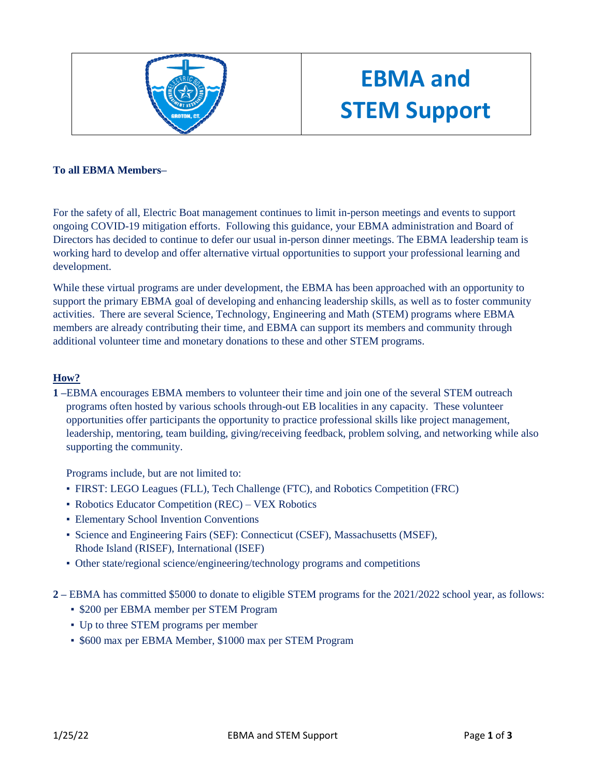

# **EBMA and STEM Support**

# **To all EBMA Members–**

For the safety of all, Electric Boat management continues to limit in-person meetings and events to support ongoing COVID-19 mitigation efforts. Following this guidance, your EBMA administration and Board of Directors has decided to continue to defer our usual in-person dinner meetings. The EBMA leadership team is working hard to develop and offer alternative virtual opportunities to support your professional learning and development.

While these virtual programs are under development, the EBMA has been approached with an opportunity to support the primary EBMA goal of developing and enhancing leadership skills, as well as to foster community activities. There are several Science, Technology, Engineering and Math (STEM) programs where EBMA members are already contributing their time, and EBMA can support its members and community through additional volunteer time and monetary donations to these and other STEM programs.

# **How?**

**1 –**EBMA encourages EBMA members to volunteer their time and join one of the several STEM outreach programs often hosted by various schools through-out EB localities in any capacity. These volunteer opportunities offer participants the opportunity to practice professional skills like project management, leadership, mentoring, team building, giving/receiving feedback, problem solving, and networking while also supporting the community.

Programs include, but are not limited to:

- FIRST: LEGO Leagues (FLL), Tech Challenge (FTC), and Robotics Competition (FRC)
- Robotics Educator Competition (REC) VEX Robotics
- **Elementary School Invention Conventions**
- Science and Engineering Fairs (SEF): Connecticut (CSEF), Massachusetts (MSEF), Rhode Island (RISEF), International (ISEF)
- Other state/regional science/engineering/technology programs and competitions
- **2 –** EBMA has committed \$5000 to donate to eligible STEM programs for the 2021/2022 school year, as follows:
	- \$200 per EBMA member per STEM Program
	- Up to three STEM programs per member
	- \$600 max per EBMA Member, \$1000 max per STEM Program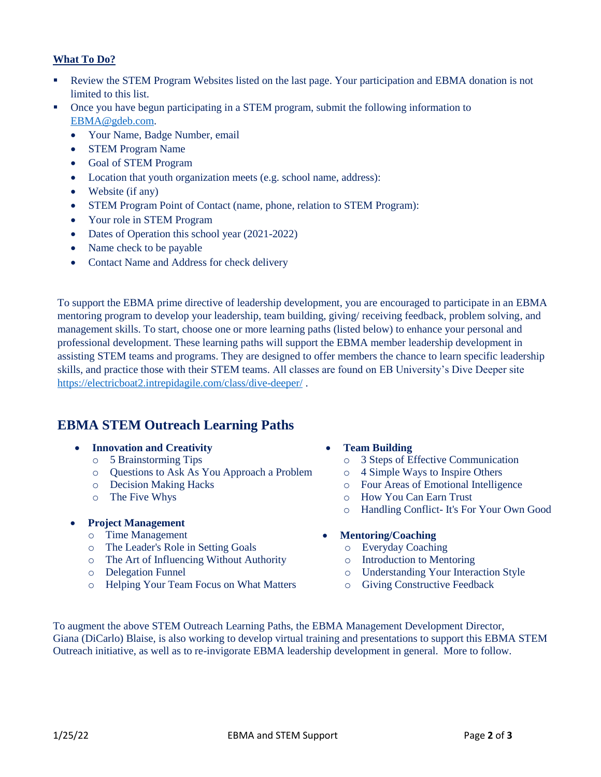# **What To Do?**

- Review the STEM Program Websites listed on the last page. Your participation and EBMA donation is not limited to this list.
- Once you have begun participating in a STEM program, submit the following information to [EBMA@gdeb.com.](mailto:EBMA@gdeb.com)
	- Your Name, Badge Number, email
	- STEM Program Name
	- Goal of STEM Program
	- Location that youth organization meets (e.g. school name, address):
	- Website (if any)
	- STEM Program Point of Contact (name, phone, relation to STEM Program):
	- Your role in STEM Program
	- Dates of Operation this school year (2021-2022)
	- Name check to be payable
	- Contact Name and Address for check delivery

To support the EBMA prime directive of leadership development, you are encouraged to participate in an EBMA mentoring program to develop your leadership, team building, giving/ receiving feedback, problem solving, and management skills. To start, choose one or more learning paths (listed below) to enhance your personal and professional development. These learning paths will support the EBMA member leadership development in assisting STEM teams and programs. They are designed to offer members the chance to learn specific leadership skills, and practice those with their STEM teams. All classes are found on EB University's Dive Deeper site <https://electricboat2.intrepidagile.com/class/dive-deeper/> .

# **EBMA STEM Outreach Learning Paths**

- **Innovation and Creativity**
	- o 5 Brainstorming Tips
	- o Questions to Ask As You Approach a Problem
	- o Decision Making Hacks
	- o The Five Whys
- **Project Management**
	- o Time Management
	- o The Leader's Role in Setting Goals
	- o The Art of Influencing Without Authority
	- o Delegation Funnel
	- o Helping Your Team Focus on What Matters

#### **Team Building**

- o 3 Steps of Effective Communication
- o 4 Simple Ways to Inspire Others
- o Four Areas of Emotional Intelligence
- o How You Can Earn Trust
- o Handling Conflict- It's For Your Own Good

### **Mentoring/Coaching**

- o Everyday Coaching
- o Introduction to Mentoring
- o Understanding Your Interaction Style
- o Giving Constructive Feedback

To augment the above STEM Outreach Learning Paths, the EBMA Management Development Director, Giana (DiCarlo) Blaise, is also working to develop virtual training and presentations to support this EBMA STEM Outreach initiative, as well as to re-invigorate EBMA leadership development in general. More to follow.